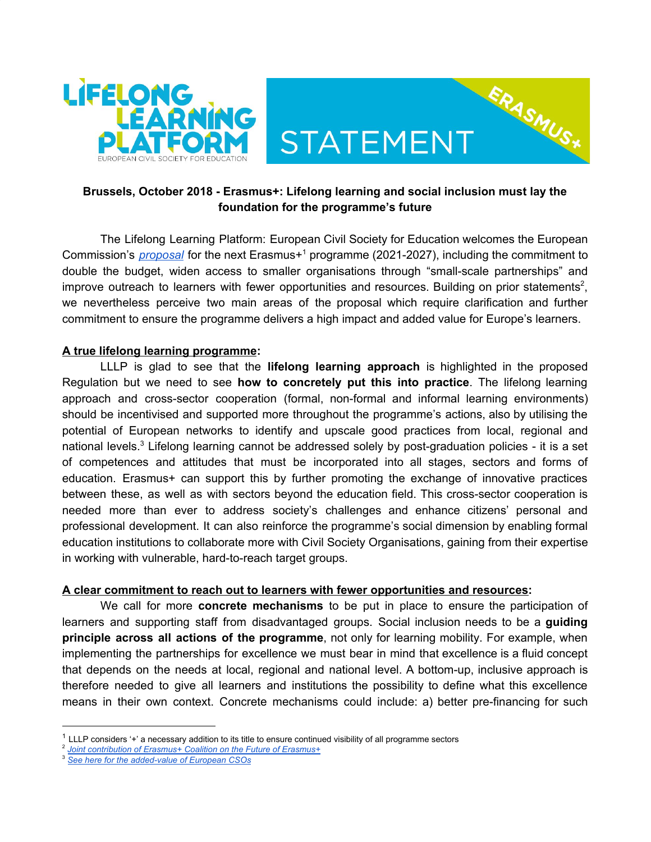

## **Brussels, October 2018 - Erasmus+: Lifelong learning and social inclusion must lay the foundation for the programme's future**

ERASMUS\*

The Lifelong Learning Platform: European Civil Society for Education welcomes the European Commission's *[proposal](http://europa.eu/rapid/press-release_IP-18-3948_en.htm)* for the next Erasmus+<sup>1</sup> programme (2021-2027), including the commitment to double the budget, widen access to smaller organisations through "small-scale partnerships" and improve outreach to learners with fewer opportunities and resources. Building on prior statements<sup>2</sup>, we nevertheless perceive two main areas of the proposal which require clarification and further commitment to ensure the programme delivers a high impact and added value for Europe's learners.

## **A true lifelong learning programme:**

LLLP is glad to see that the **lifelong learning approach** is highlighted in the proposed Regulation but we need to see **how to concretely put this into practice**. The lifelong learning approach and cross-sector cooperation (formal, non-formal and informal learning environments) should be incentivised and supported more throughout the programme's actions, also by utilising the potential of European networks to identify and upscale good practices from local, regional and national levels.<sup>3</sup> Lifelong learning cannot be addressed solely by post-graduation policies - it is a set of competences and attitudes that must be incorporated into all stages, sectors and forms of education. Erasmus+ can support this by further promoting the exchange of innovative practices between these, as well as with sectors beyond the education field. This cross-sector cooperation is needed more than ever to address society's challenges and enhance citizens' personal and professional development. It can also reinforce the programme's social dimension by enabling formal education institutions to collaborate more with Civil Society Organisations, gaining from their expertise in working with vulnerable, hard-to-reach target groups.

## **A clear commitment to reach out to learners with fewer opportunities and resources:**

We call for more **concrete mechanisms** to be put in place to ensure the participation of learners and supporting staff from disadvantaged groups. Social inclusion needs to be a **guiding principle across all actions of the programme**, not only for learning mobility. For example, when implementing the partnerships for excellence we must bear in mind that excellence is a fluid concept that depends on the needs at local, regional and national level. A bottom-up, inclusive approach is therefore needed to give all learners and institutions the possibility to define what this excellence means in their own context. Concrete mechanisms could include: a) better pre-financing for such

 $1$  LLLP considers '+' a necessary addition to its title to ensure continued visibility of all programme sectors

<sup>2</sup> *Joint [contribution](http://lllplatform.eu/lll/wp-content/uploads/2015/09/Joint-contribution-Erasmus-Coalition-Future-of-Erasmus.pdf) of Erasmus+ Coalition on the Future of Erasmus+*

<sup>3</sup> *See here for the [added-value](http://lllplatform.eu/lll/wp-content/uploads/2018/10/NEW_Infographics-for-MOs-added-values_ONLINE.pdf) of European CSOs*